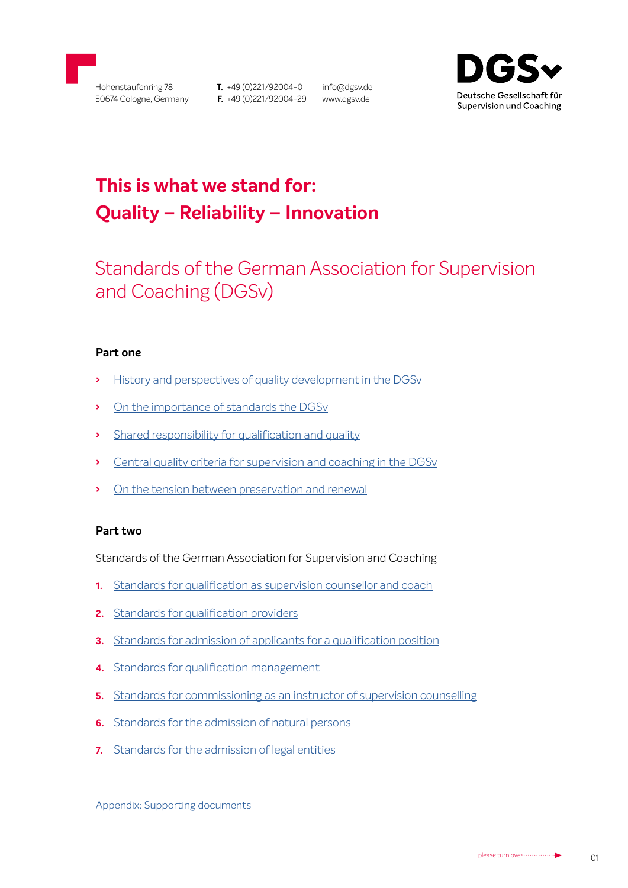

**T.** +49 (0)221/92004-0 **F.** +49 (0)221/92004-29 www.dgsv.de

info@dgsv.de



# **This is what we stand for: Quality – Reliability – Innovation**

# Standards of the German Association for Supervision and Coaching (DGSv)

# **Part one**

- **›** [History and perspectives of quality development in the DGSv](#page-1-0)
- **›** [On the importance of standards the DGSv](#page-2-0)
- **›** [Shared responsibility for qualification and quality](#page-3-0)
- **›** [Central quality criteria for supervision and coaching in the DGSv](#page-3-0)
- **›** On the tension between preservation and renewal

## **Part two**

Standards of the German Association for Supervision and Coaching

- **1.** [Standards for qualification as supervision counsellor and coach](#page-4-0)
- **2.** [Standards for qualification providers](#page-8-0)
- **3.** [Standards for admission of applicants for a qualification position](#page-10-0)
- **4.** [Standards for qualification management](#page-12-0)
- **5.** [Standards for commissioning as an instructor of supervision counselling](#page-13-0)
- **6.** [Standards for the admission of natural persons](#page-16-0)
- **7.** [Standards for the admission of legal entities](#page-16-0)

[Appendix: Supporting documents](#page-17-0)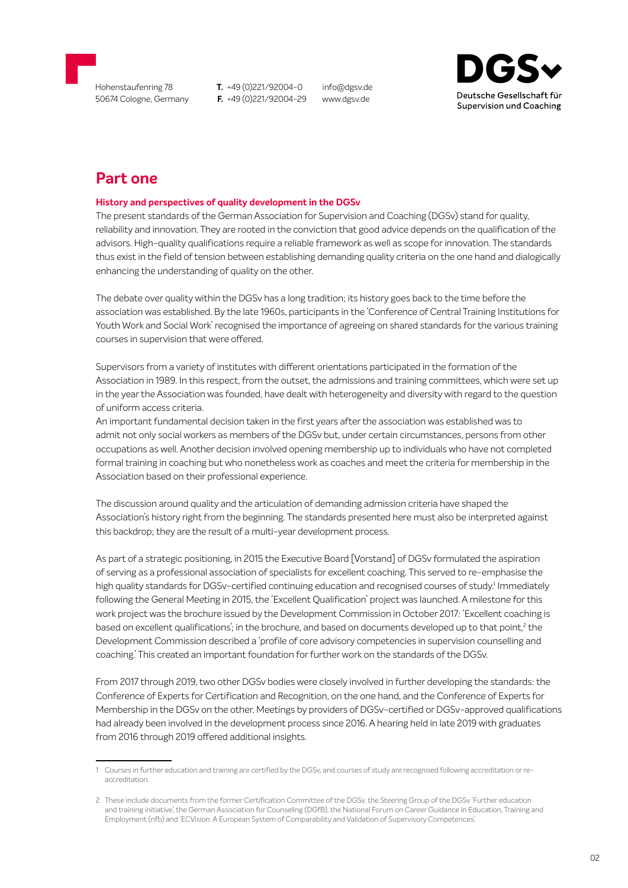<span id="page-1-0"></span>

info@dgsv.de www.dgsv.de



# **Part one**

#### **History and perspectives of quality development in the DGSv**

The present standards of the German Association for Supervision and Coaching (DGSv) stand for quality, reliability and innovation. They are rooted in the conviction that good advice depends on the qualification of the advisors. High-quality qualifications require a reliable framework as well as scope for innovation. The standards thus exist in the field of tension between establishing demanding quality criteria on the one hand and dialogically enhancing the understanding of quality on the other.

The debate over quality within the DGSv has a long tradition; its history goes back to the time before the association was established. By the late 1960s, participants in the 'Conference of Central Training Institutions for Youth Work and Social Work' recognised the importance of agreeing on shared standards for the various training courses in supervision that were offered.

Supervisors from a variety of institutes with different orientations participated in the formation of the Association in 1989. In this respect, from the outset, the admissions and training committees, which were set up in the year the Association was founded, have dealt with heterogeneity and diversity with regard to the question of uniform access criteria.

An important fundamental decision taken in the first years after the association was established was to admit not only social workers as members of the DGSv but, under certain circumstances, persons from other occupations as well. Another decision involved opening membership up to individuals who have not completed formal training in coaching but who nonetheless work as coaches and meet the criteria for membership in the Association based on their professional experience.

The discussion around quality and the articulation of demanding admission criteria have shaped the Association's history right from the beginning. The standards presented here must also be interpreted against this backdrop; they are the result of a multi-year development process.

As part of a strategic positioning, in 2015 the Executive Board [Vorstand] of DGSv formulated the aspiration of serving as a professional association of specialists for excellent coaching. This served to re-emphasise the high quality standards for DGSv-certified continuing education and recognised courses of study.<sup>1</sup> Immediately following the General Meeting in 2015, the 'Excellent Qualification' project was launched. A milestone for this work project was the brochure issued by the Development Commission in October 2017: 'Excellent coaching is based on excellent qualifications'; in the brochure, and based on documents developed up to that point, $^2$  the Development Commission described a 'profile of core advisory competencies in supervision counselling and coaching.' This created an important foundation for further work on the standards of the DGSv.

From 2017 through 2019, two other DGSv bodies were closely involved in further developing the standards: the Conference of Experts for Certification and Recognition, on the one hand, and the Conference of Experts for Membership in the DGSv on the other. Meetings by providers of DGSv-certified or DGSv-approved qualifications had already been involved in the development process since 2016. A hearing held in late 2019 with graduates from 2016 through 2019 offered additional insights.

<sup>1</sup> Courses in further education and training are certified by the DGSv, and courses of study are recognised following accreditation or reaccreditation.

<sup>2</sup> These include documents from the former Certification Committee of the DGSv, the Steering Group of the DGSv 'Further education and training initiative', the German Association for Counseling (DGfB), the National Forum on Career Guidance in Education, Training and Employment (nfb) and 'ECVision. A European System of Comparability and Validation of Supervisory Competences'.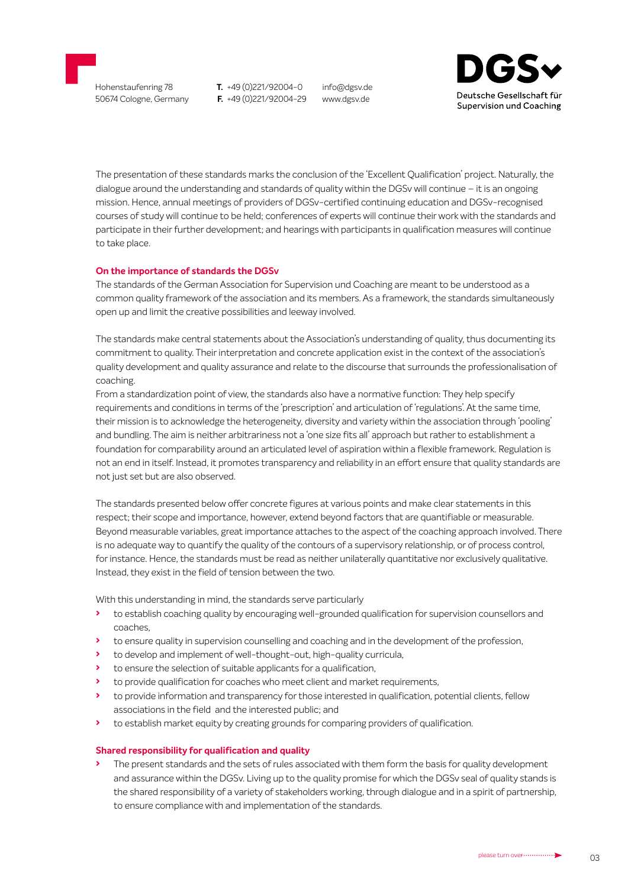<span id="page-2-0"></span>

info@dgsv.de www.dgsv.de



The presentation of these standards marks the conclusion of the 'Excellent Qualification' project. Naturally, the dialogue around the understanding and standards of quality within the DGSv will continue – it is an ongoing mission. Hence, annual meetings of providers of DGSv-certified continuing education and DGSv-recognised courses of study will continue to be held; conferences of experts will continue their work with the standards and participate in their further development; and hearings with participants in qualification measures will continue to take place.

#### **On the importance of standards the DGSv**

The standards of the German Association for Supervision und Coaching are meant to be understood as a common quality framework of the association and its members. As a framework, the standards simultaneously open up and limit the creative possibilities and leeway involved.

The standards make central statements about the Association's understanding of quality, thus documenting its commitment to quality. Their interpretation and concrete application exist in the context of the association's quality development and quality assurance and relate to the discourse that surrounds the professionalisation of coaching.

From a standardization point of view, the standards also have a normative function: They help specify requirements and conditions in terms of the 'prescription' and articulation of 'regulations'. At the same time, their mission is to acknowledge the heterogeneity, diversity and variety within the association through 'pooling' and bundling. The aim is neither arbitrariness not a 'one size fits all' approach but rather to establishment a foundation for comparability around an articulated level of aspiration within a flexible framework. Regulation is not an end in itself. Instead, it promotes transparency and reliability in an effort ensure that quality standards are not just set but are also observed.

The standards presented below offer concrete figures at various points and make clear statements in this respect; their scope and importance, however, extend beyond factors that are quantifiable or measurable. Beyond measurable variables, great importance attaches to the aspect of the coaching approach involved. There is no adequate way to quantify the quality of the contours of a supervisory relationship, or of process control, for instance. Hence, the standards must be read as neither unilaterally quantitative nor exclusively qualitative. Instead, they exist in the field of tension between the two.

With this understanding in mind, the standards serve particularly

- **›** to establish coaching quality by encouraging well-grounded qualification for supervision counsellors and coaches,
- **›** to ensure quality in supervision counselling and coaching and in the development of the profession,
- **›** to develop and implement of well-thought-out, high-quality curricula,
- **›** to ensure the selection of suitable applicants for a qualification,
- **›** to provide qualification for coaches who meet client and market requirements,
- **›** to provide information and transparency for those interested in qualification, potential clients, fellow associations in the field and the interested public; and
- **›** to establish market equity by creating grounds for comparing providers of qualification.

#### **Shared responsibility for qualification and quality**

**›** The present standards and the sets of rules associated with them form the basis for quality development and assurance within the DGSv. Living up to the quality promise for which the DGSv seal of quality stands is the shared responsibility of a variety of stakeholders working, through dialogue and in a spirit of partnership, to ensure compliance with and implementation of the standards.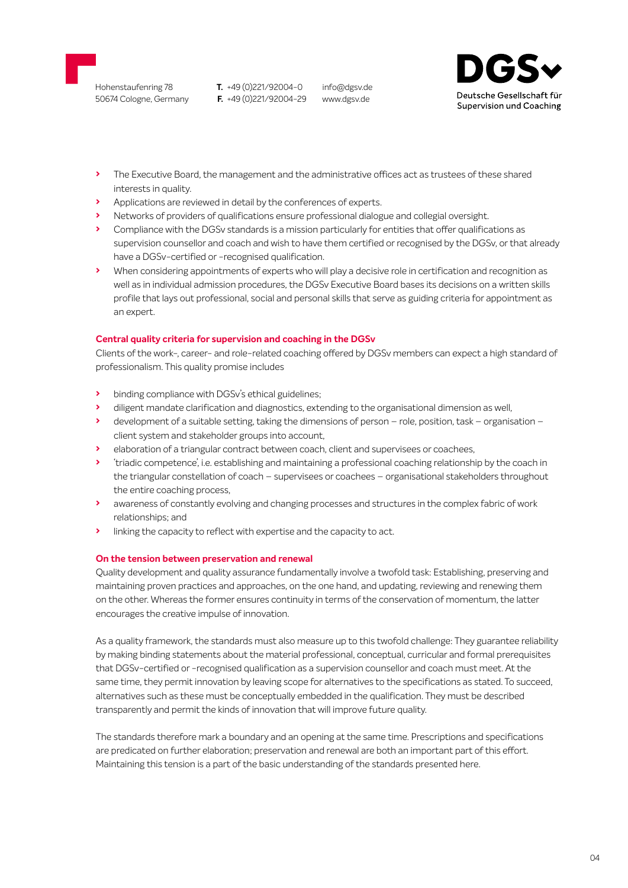<span id="page-3-0"></span>Hohenstaufenring 78 50674 Cologne, Germany **T.** +49 (0)221/92004-0 **F.** +49 (0)221/92004-29

info@dgsv.de www.dgsv.de



- **›** The Executive Board, the management and the administrative offices act as trustees of these shared interests in quality.
- **›** Applications are reviewed in detail by the conferences of experts.
- **›** Networks of providers of qualifications ensure professional dialogue and collegial oversight.
- **›** Compliance with the DGSv standards is a mission particularly for entities that offer qualifications as supervision counsellor and coach and wish to have them certified or recognised by the DGSv, or that already have a DGSv-certified or -recognised qualification.
- **›** When considering appointments of experts who will play a decisive role in certification and recognition as well as in individual admission procedures, the DGSv Executive Board bases its decisions on a written skills profile that lays out professional, social and personal skills that serve as guiding criteria for appointment as an expert.

#### **Central quality criteria for supervision and coaching in the DGSv**

Clients of the work-, career- and role-related coaching offered by DGSv members can expect a high standard of professionalism. This quality promise includes

- **›** binding compliance with DGSv's ethical guidelines;
- **›** diligent mandate clarification and diagnostics, extending to the organisational dimension as well,
- **›** development of a suitable setting, taking the dimensions of person role, position, task organisation client system and stakeholder groups into account,
- **›** elaboration of a triangular contract between coach, client and supervisees or coachees,
- **›** 'triadic competence', i.e. establishing and maintaining a professional coaching relationship by the coach in the triangular constellation of coach – supervisees or coachees – organisational stakeholders throughout the entire coaching process,
- **›** awareness of constantly evolving and changing processes and structures in the complex fabric of work relationships; and
- **›** linking the capacity to reflect with expertise and the capacity to act.

#### **On the tension between preservation and renewal**

Quality development and quality assurance fundamentally involve a twofold task: Establishing, preserving and maintaining proven practices and approaches, on the one hand, and updating, reviewing and renewing them on the other. Whereas the former ensures continuity in terms of the conservation of momentum, the latter encourages the creative impulse of innovation.

As a quality framework, the standards must also measure up to this twofold challenge: They guarantee reliability by making binding statements about the material professional, conceptual, curricular and formal prerequisites that DGSv-certified or -recognised qualification as a supervision counsellor and coach must meet. At the same time, they permit innovation by leaving scope for alternatives to the specifications as stated. To succeed, alternatives such as these must be conceptually embedded in the qualification. They must be described transparently and permit the kinds of innovation that will improve future quality.

The standards therefore mark a boundary and an opening at the same time. Prescriptions and specifications are predicated on further elaboration; preservation and renewal are both an important part of this effort. Maintaining this tension is a part of the basic understanding of the standards presented here.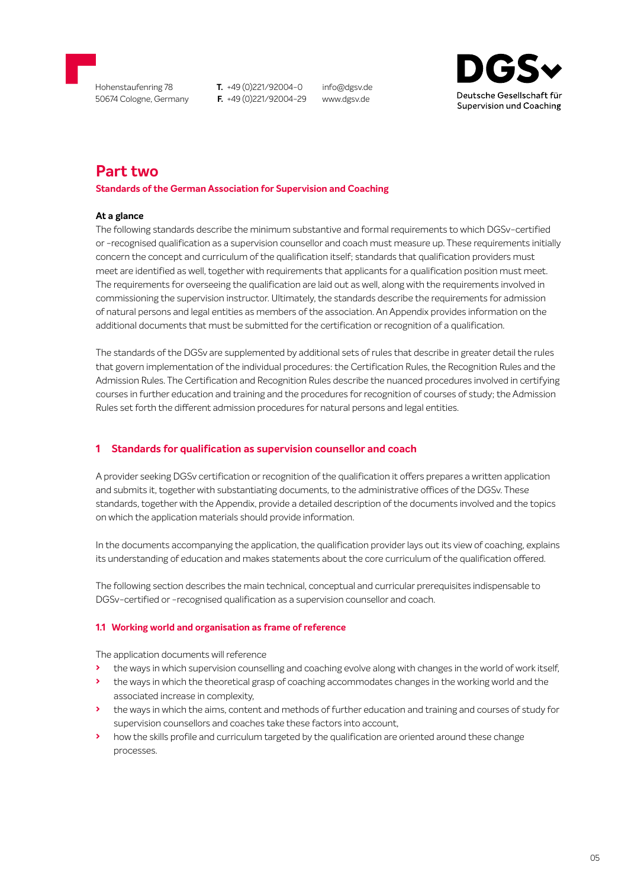<span id="page-4-0"></span>

50674 Cologne, Germany

**T.** +49 (0)221/92004-0 **F.** +49 (0)221/92004-29

info@dgsv.de www.dgsv.de



# **Part two**

#### **Standards of the German Association for Supervision and Coaching**

#### **At a glance**

The following standards describe the minimum substantive and formal requirements to which DGSv-certified or -recognised qualification as a supervision counsellor and coach must measure up. These requirements initially concern the concept and curriculum of the qualification itself; standards that qualification providers must meet are identified as well, together with requirements that applicants for a qualification position must meet. The requirements for overseeing the qualification are laid out as well, along with the requirements involved in commissioning the supervision instructor. Ultimately, the standards describe the requirements for admission of natural persons and legal entities as members of the association. An Appendix provides information on the additional documents that must be submitted for the certification or recognition of a qualification.

The standards of the DGSv are supplemented by additional sets of rules that describe in greater detail the rules that govern implementation of the individual procedures: the Certification Rules, the Recognition Rules and the Admission Rules. The Certification and Recognition Rules describe the nuanced procedures involved in certifying courses in further education and training and the procedures for recognition of courses of study; the Admission Rules set forth the different admission procedures for natural persons and legal entities.

#### **1 Standards for qualification as supervision counsellor and coach**

A provider seeking DGSv certification or recognition of the qualification it offers prepares a written application and submits it, together with substantiating documents, to the administrative offices of the DGSv. These standards, together with the Appendix, provide a detailed description of the documents involved and the topics on which the application materials should provide information.

In the documents accompanying the application, the qualification provider lays out its view of coaching, explains its understanding of education and makes statements about the core curriculum of the qualification offered.

The following section describes the main technical, conceptual and curricular prerequisites indispensable to DGSv-certified or -recognised qualification as a supervision counsellor and coach.

#### **1.1 Working world and organisation as frame of reference**

The application documents will reference

- **›** the ways in which supervision counselling and coaching evolve along with changes in the world of work itself,
- **›** the ways in which the theoretical grasp of coaching accommodates changes in the working world and the associated increase in complexity,
- **›** the ways in which the aims, content and methods of further education and training and courses of study for supervision counsellors and coaches take these factors into account,
- **›** how the skills profile and curriculum targeted by the qualification are oriented around these change processes.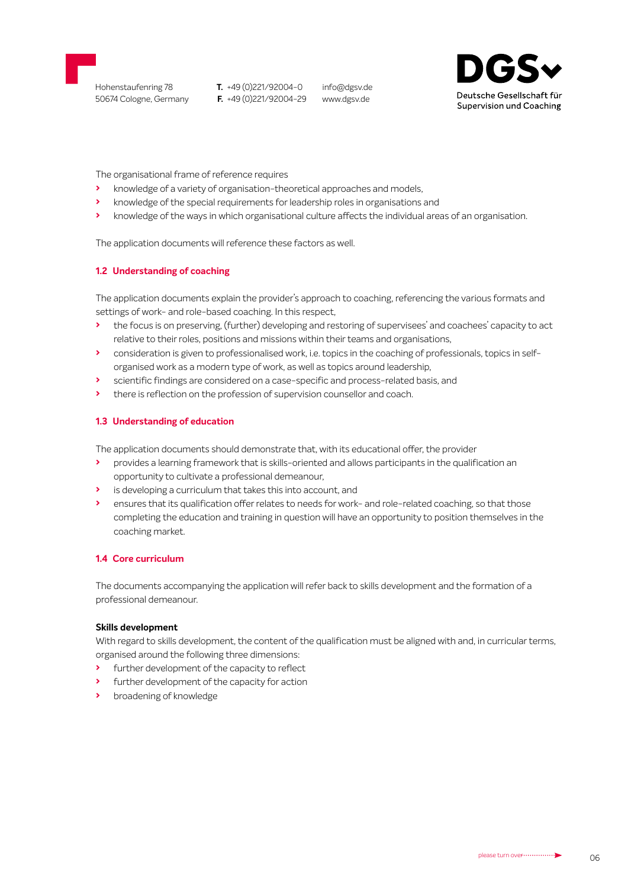

info@dgsv.de www.dgsv.de



The organisational frame of reference requires

- **›** knowledge of a variety of organisation-theoretical approaches and models,
- **›** knowledge of the special requirements for leadership roles in organisations and
- **›** knowledge of the ways in which organisational culture affects the individual areas of an organisation.

The application documents will reference these factors as well.

#### **1.2 Understanding of coaching**

The application documents explain the provider's approach to coaching, referencing the various formats and settings of work- and role-based coaching. In this respect,

- **›** the focus is on preserving, (further) developing and restoring of supervisees' and coachees' capacity to act relative to their roles, positions and missions within their teams and organisations,
- **›** consideration is given to professionalised work, i.e. topics in the coaching of professionals, topics in selforganised work as a modern type of work, as well as topics around leadership,
- **›** scientific findings are considered on a case-specific and process-related basis, and
- **›** there is reflection on the profession of supervision counsellor and coach.

#### **1.3 Understanding of education**

The application documents should demonstrate that, with its educational offer, the provider

- **›** provides a learning framework that is skills-oriented and allows participants in the qualification an opportunity to cultivate a professional demeanour,
- **›** is developing a curriculum that takes this into account, and
- **›** ensures that its qualification offer relates to needs for work- and role-related coaching, so that those completing the education and training in question will have an opportunity to position themselves in the coaching market.

#### **1.4 Core curriculum**

The documents accompanying the application will refer back to skills development and the formation of a professional demeanour.

#### **Skills development**

With regard to skills development, the content of the qualification must be aligned with and, in curricular terms, organised around the following three dimensions:

- **›** further development of the capacity to reflect
- **›** further development of the capacity for action
- **›** broadening of knowledge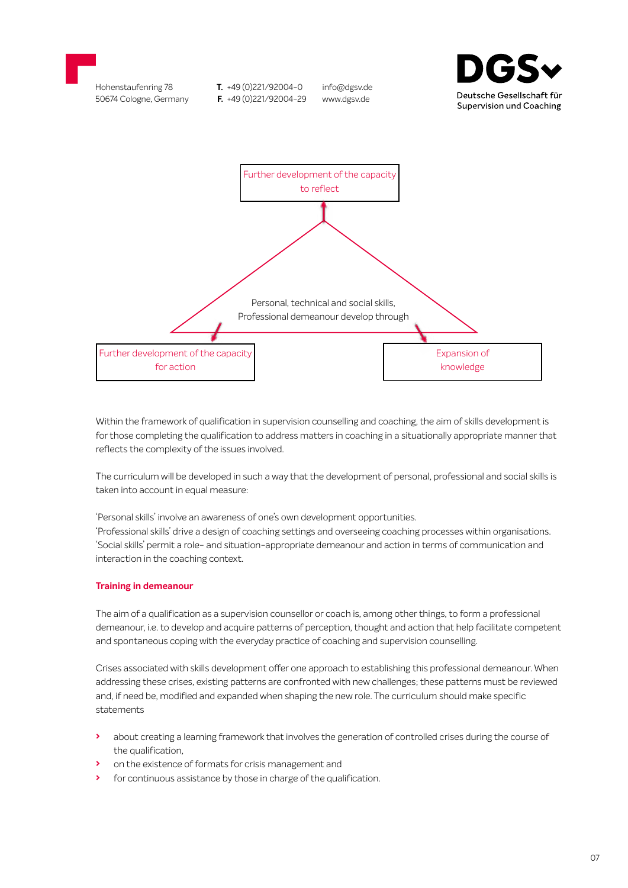



Within the framework of qualification in supervision counselling and coaching, the aim of skills development is for those completing the qualification to address matters in coaching in a situationally appropriate manner that reflects the complexity of the issues involved.

The curriculum will be developed in such a way that the development of personal, professional and social skills is taken into account in equal measure:

'Personal skills' involve an awareness of one's own development opportunities. 'Professional skills' drive a design of coaching settings and overseeing coaching processes within organisations. 'Social skills' permit a role- and situation-appropriate demeanour and action in terms of communication and interaction in the coaching context.

#### **Training in demeanour**

The aim of a qualification as a supervision counsellor or coach is, among other things, to form a professional demeanour, i.e. to develop and acquire patterns of perception, thought and action that help facilitate competent and spontaneous coping with the everyday practice of coaching and supervision counselling.

Crises associated with skills development offer one approach to establishing this professional demeanour. When addressing these crises, existing patterns are confronted with new challenges; these patterns must be reviewed and, if need be, modified and expanded when shaping the new role. The curriculum should make specific statements

- **›** about creating a learning framework that involves the generation of controlled crises during the course of the qualification,
- **›** on the existence of formats for crisis management and
- **›** for continuous assistance by those in charge of the qualification.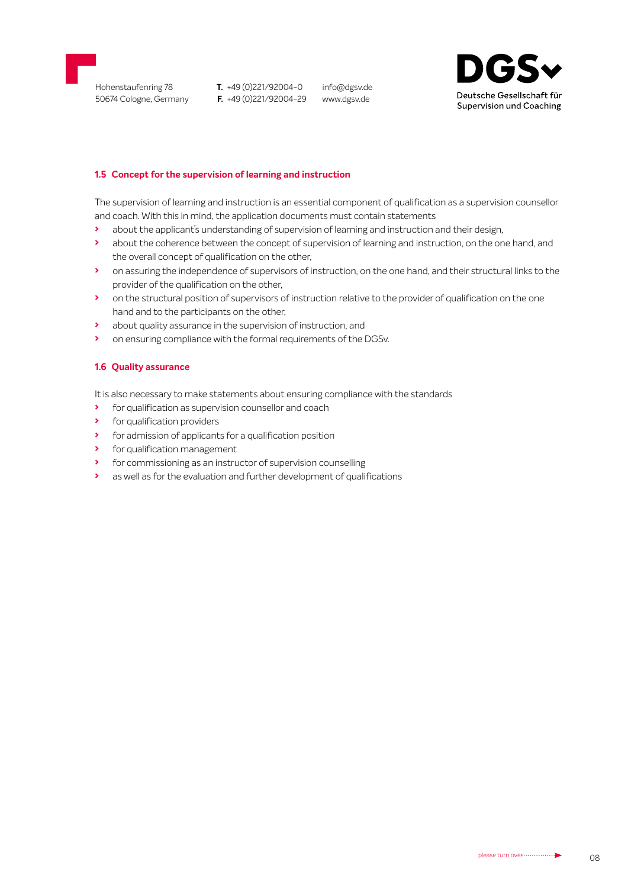

info@dgsv.de www.dgsv.de



#### **1.5 Concept for the supervision of learning and instruction**

The supervision of learning and instruction is an essential component of qualification as a supervision counsellor and coach. With this in mind, the application documents must contain statements

- **›** about the applicant's understanding of supervision of learning and instruction and their design,
- **›** about the coherence between the concept of supervision of learning and instruction, on the one hand, and the overall concept of qualification on the other,
- **›** on assuring the independence of supervisors of instruction, on the one hand, and their structural links to the provider of the qualification on the other,
- **›** on the structural position of supervisors of instruction relative to the provider of qualification on the one hand and to the participants on the other,
- **›** about quality assurance in the supervision of instruction, and
- **›** on ensuring compliance with the formal requirements of the DGSv.

#### **1.6 Quality assurance**

It is also necessary to make statements about ensuring compliance with the standards

- **›** for qualification as supervision counsellor and coach
- **›** for qualification providers
- **›** for admission of applicants for a qualification position
- **›** for qualification management
- **›** for commissioning as an instructor of supervision counselling
- **›** as well as for the evaluation and further development of qualifications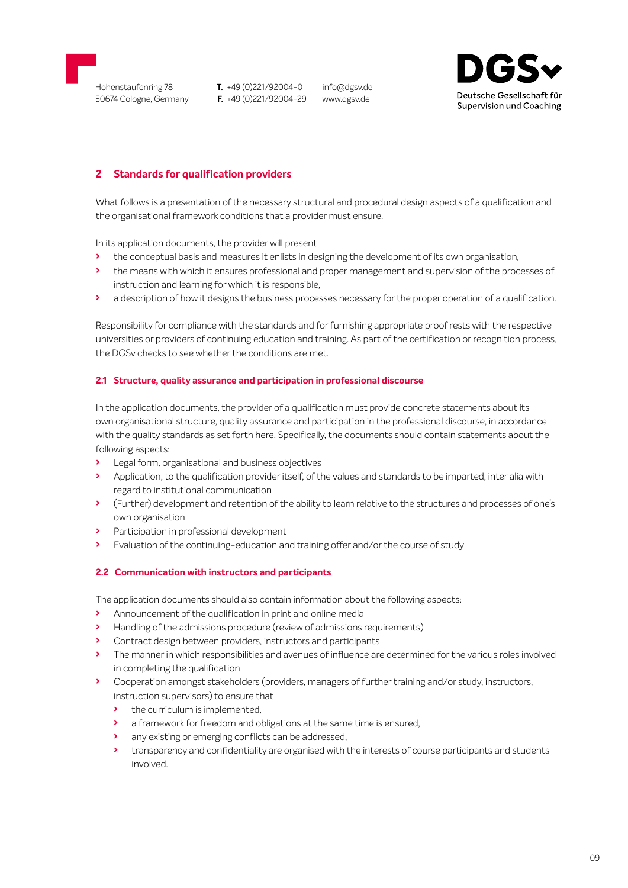<span id="page-8-0"></span>

info@dgsv.de www.dgsv.de



# **2 Standards for qualification providers**

What follows is a presentation of the necessary structural and procedural design aspects of a qualification and the organisational framework conditions that a provider must ensure.

In its application documents, the provider will present

- **›** the conceptual basis and measures it enlists in designing the development of its own organisation,
- **›** the means with which it ensures professional and proper management and supervision of the processes of instruction and learning for which it is responsible,
- **›** a description of how it designs the business processes necessary for the proper operation of a qualification.

Responsibility for compliance with the standards and for furnishing appropriate proof rests with the respective universities or providers of continuing education and training. As part of the certification or recognition process, the DGSv checks to see whether the conditions are met.

#### **2.1 Structure, quality assurance and participation in professional discourse**

In the application documents, the provider of a qualification must provide concrete statements about its own organisational structure, quality assurance and participation in the professional discourse, in accordance with the quality standards as set forth here. Specifically, the documents should contain statements about the following aspects:

- **›** Legal form, organisational and business objectives
- **›** Application, to the qualification provider itself, of the values and standards to be imparted, inter alia with regard to institutional communication
- **›** (Further) development and retention of the ability to learn relative to the structures and processes of one's own organisation
- **›** Participation in professional development
- **›** Evaluation of the continuing-education and training offer and/or the course of study

#### **2.2 Communication with instructors and participants**

The application documents should also contain information about the following aspects:

- **›** Announcement of the qualification in print and online media
- **›** Handling of the admissions procedure (review of admissions requirements)
- **›** Contract design between providers, instructors and participants
- **›** The manner in which responsibilities and avenues of influence are determined for the various roles involved in completing the qualification
- **›** Cooperation amongst stakeholders (providers, managers of further training and/or study, instructors, instruction supervisors) to ensure that
	- **›** the curriculum is implemented,
	- **›** a framework for freedom and obligations at the same time is ensured,
	- **›** any existing or emerging conflicts can be addressed,
	- **›** transparency and confidentiality are organised with the interests of course participants and students involved.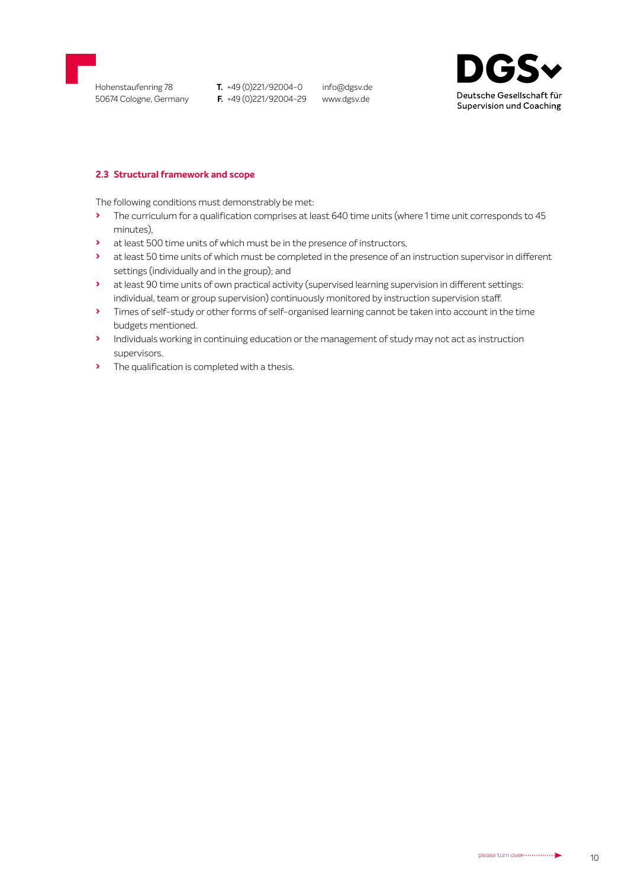

info@dgsv.de www.dgsv.de



#### **2.3 Structural framework and scope**

The following conditions must demonstrably be met:

- **›** The curriculum for a qualification comprises at least 640 time units (where 1 time unit corresponds to 45 minutes),
- **›** at least 500 time units of which must be in the presence of instructors,
- **›** at least 50 time units of which must be completed in the presence of an instruction supervisor in different settings (individually and in the group); and
- **›** at least 90 time units of own practical activity (supervised learning supervision in different settings: individual, team or group supervision) continuously monitored by instruction supervision staff.
- **›** Times of self-study or other forms of self-organised learning cannot be taken into account in the time budgets mentioned.
- **›** Individuals working in continuing education or the management of study may not act as instruction supervisors.
- **›** The qualification is completed with a thesis.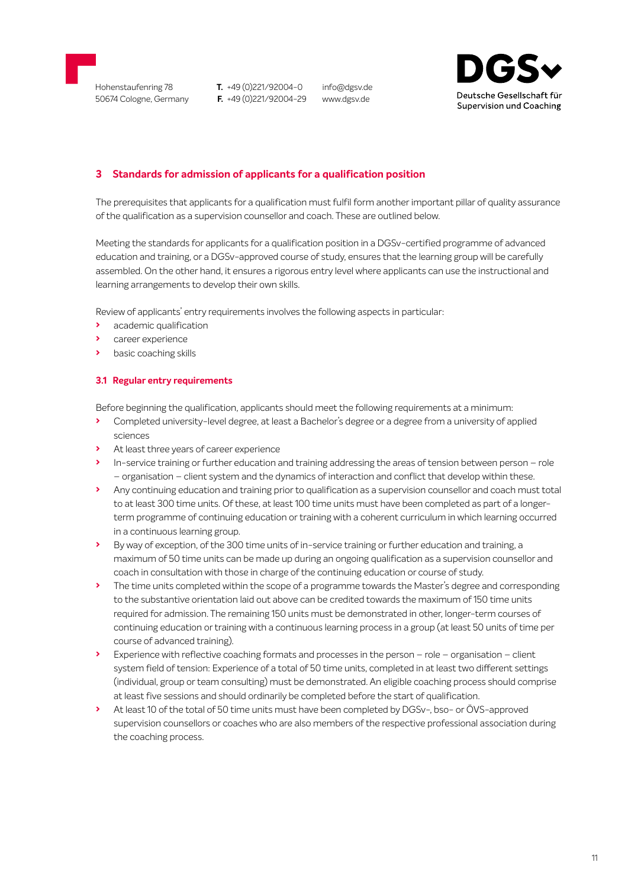<span id="page-10-0"></span>

Hohenstaufenring 78 50674 Cologne, Germany **T.** +49 (0)221/92004-0 **F.** +49 (0)221/92004-29

info@dgsv.de www.dgsv.de



## **3 Standards for admission of applicants for a qualification position**

The prerequisites that applicants for a qualification must fulfil form another important pillar of quality assurance of the qualification as a supervision counsellor and coach. These are outlined below.

Meeting the standards for applicants for a qualification position in a DGSv-certified programme of advanced education and training, or a DGSv-approved course of study, ensures that the learning group will be carefully assembled. On the other hand, it ensures a rigorous entry level where applicants can use the instructional and learning arrangements to develop their own skills.

Review of applicants' entry requirements involves the following aspects in particular:

- **›** academic qualification
- **›** career experience
- **›** basic coaching skills

#### **3.1 Regular entry requirements**

Before beginning the qualification, applicants should meet the following requirements at a minimum:

- **›** Completed university-level degree, at least a Bachelor's degree or a degree from a university of applied sciences
- **›** At least three years of career experience
- **›** In-service training or further education and training addressing the areas of tension between person role – organisation – client system and the dynamics of interaction and conflict that develop within these.
- **›** Any continuing education and training prior to qualification as a supervision counsellor and coach must total to at least 300 time units. Of these, at least 100 time units must have been completed as part of a longerterm programme of continuing education or training with a coherent curriculum in which learning occurred in a continuous learning group.
- **›** By way of exception, of the 300 time units of in-service training or further education and training, a maximum of 50 time units can be made up during an ongoing qualification as a supervision counsellor and coach in consultation with those in charge of the continuing education or course of study.
- **›** The time units completed within the scope of a programme towards the Master's degree and corresponding to the substantive orientation laid out above can be credited towards the maximum of 150 time units required for admission. The remaining 150 units must be demonstrated in other, longer-term courses of continuing education or training with a continuous learning process in a group (at least 50 units of time per course of advanced training).
- **›** Experience with reflective coaching formats and processes in the person role organisation client system field of tension: Experience of a total of 50 time units, completed in at least two different settings (individual, group or team consulting) must be demonstrated. An eligible coaching process should comprise at least five sessions and should ordinarily be completed before the start of qualification.
- **›** At least 10 of the total of 50 time units must have been completed by DGSv-, bso- or ÖVS-approved supervision counsellors or coaches who are also members of the respective professional association during the coaching process.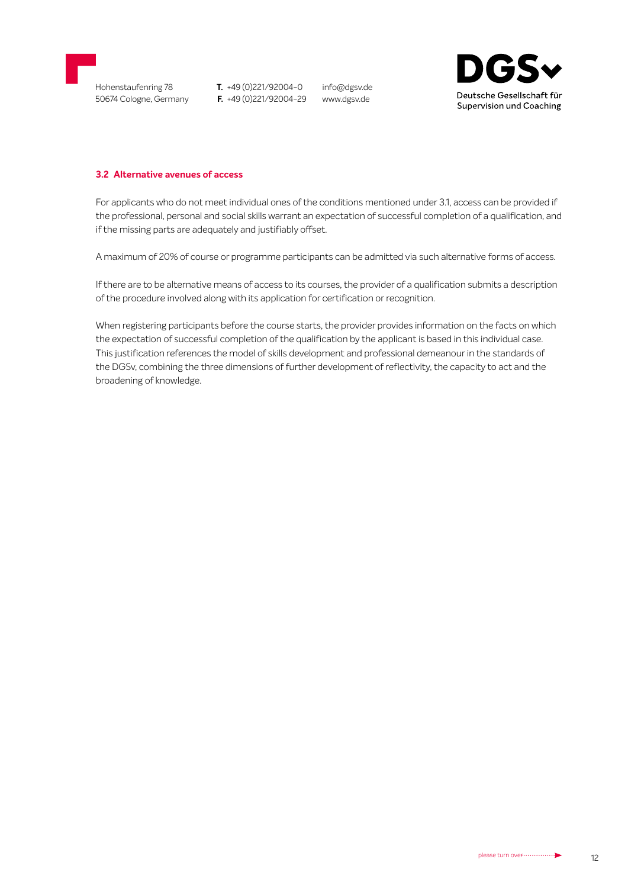

info@dgsv.de www.dgsv.de



#### **3.2 Alternative avenues of access**

For applicants who do not meet individual ones of the conditions mentioned under 3.1, access can be provided if the professional, personal and social skills warrant an expectation of successful completion of a qualification, and if the missing parts are adequately and justifiably offset.

A maximum of 20% of course or programme participants can be admitted via such alternative forms of access.

If there are to be alternative means of access to its courses, the provider of a qualification submits a description of the procedure involved along with its application for certification or recognition.

When registering participants before the course starts, the provider provides information on the facts on which the expectation of successful completion of the qualification by the applicant is based in this individual case. This justification references the model of skills development and professional demeanour in the standards of the DGSv, combining the three dimensions of further development of reflectivity, the capacity to act and the broadening of knowledge.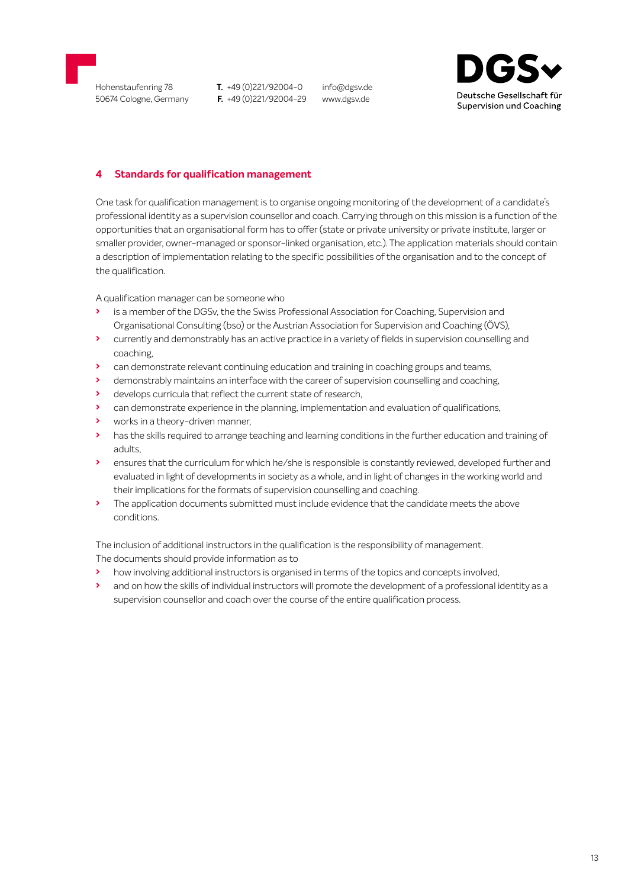<span id="page-12-0"></span>

info@dgsv.de www.dgsv.de



# **4 Standards for qualification management**

One task for qualification management is to organise ongoing monitoring of the development of a candidate's professional identity as a supervision counsellor and coach. Carrying through on this mission is a function of the opportunities that an organisational form has to offer (state or private university or private institute, larger or smaller provider, owner-managed or sponsor-linked organisation, etc.). The application materials should contain a description of implementation relating to the specific possibilities of the organisation and to the concept of the qualification.

A qualification manager can be someone who

- **›** is a member of the DGSv, the the Swiss Professional Association for Coaching, Supervision and Organisational Consulting (bso) or the Austrian Association for Supervision and Coaching (ÖVS),
- **›** currently and demonstrably has an active practice in a variety of fields in supervision counselling and coaching,
- **›** can demonstrate relevant continuing education and training in coaching groups and teams,
- **›** demonstrably maintains an interface with the career of supervision counselling and coaching,
- **›** develops curricula that reflect the current state of research,
- **›** can demonstrate experience in the planning, implementation and evaluation of qualifications,
- **›** works in a theory-driven manner,
- **›** has the skills required to arrange teaching and learning conditions in the further education and training of adults,
- **›** ensures that the curriculum for which he/she is responsible is constantly reviewed, developed further and evaluated in light of developments in society as a whole, and in light of changes in the working world and their implications for the formats of supervision counselling and coaching.
- **›** The application documents submitted must include evidence that the candidate meets the above conditions.

The inclusion of additional instructors in the qualification is the responsibility of management. The documents should provide information as to

- **›** how involving additional instructors is organised in terms of the topics and concepts involved,
- **›** and on how the skills of individual instructors will promote the development of a professional identity as a supervision counsellor and coach over the course of the entire qualification process.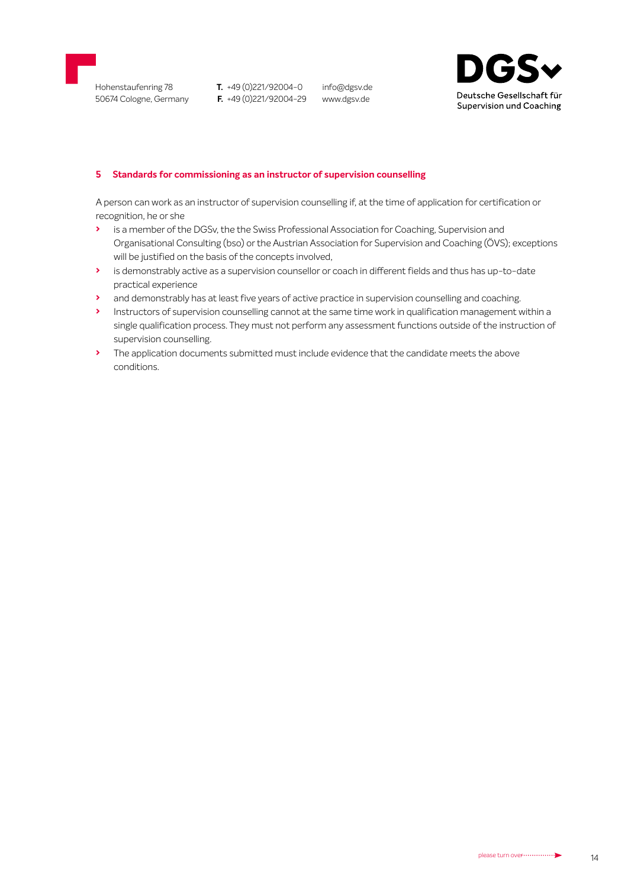<span id="page-13-0"></span>

info@dgsv.de www.dgsv.de



#### **5 Standards for commissioning as an instructor of supervision counselling**

A person can work as an instructor of supervision counselling if, at the time of application for certification or recognition, he or she

- **›** is a member of the DGSv, the the Swiss Professional Association for Coaching, Supervision and Organisational Consulting (bso) or the Austrian Association for Supervision and Coaching (ÖVS); exceptions will be justified on the basis of the concepts involved,
- **›** is demonstrably active as a supervision counsellor or coach in different fields and thus has up-to-date practical experience
- **›** and demonstrably has at least five years of active practice in supervision counselling and coaching.
- **›** Instructors of supervision counselling cannot at the same time work in qualification management within a single qualification process. They must not perform any assessment functions outside of the instruction of supervision counselling.
- **›** The application documents submitted must include evidence that the candidate meets the above conditions.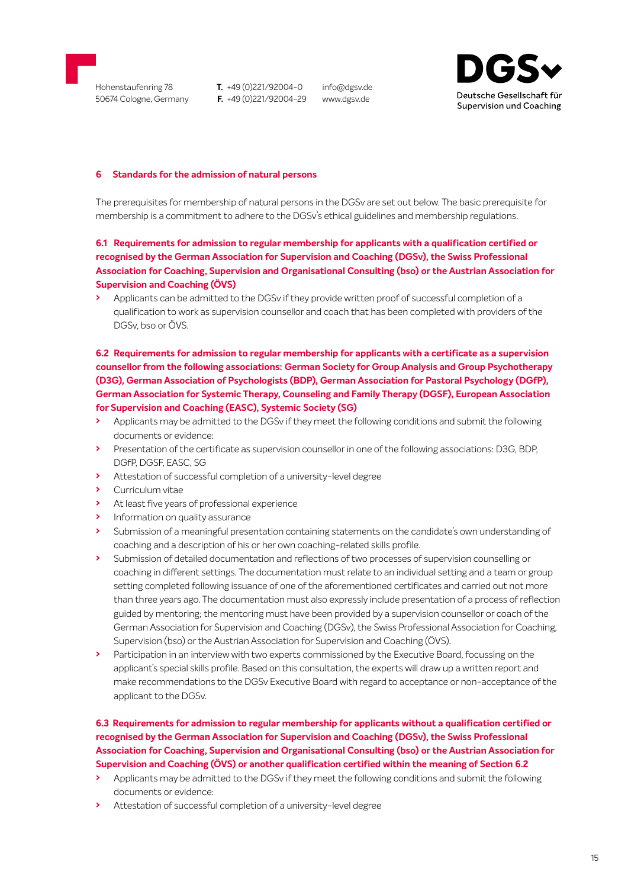

info@dgsv.de www.dgsv.de



#### **6 Standards for the admission of natural persons**

The prerequisites for membership of natural persons in the DGSv are set out below. The basic prerequisite for membership is a commitment to adhere to the DGSv's ethical guidelines and membership regulations.

## **6.1 Requirements for admission to regular membership for applicants with a qualification certified or recognised by the German Association for Supervision and Coaching (DGSv), the Swiss Professional Association for Coaching, Supervision and Organisational Consulting (bso) or the Austrian Association for Supervision and Coaching (ÖVS)**

**›** Applicants can be admitted to the DGSv if they provide written proof of successful completion of a qualification to work as supervision counsellor and coach that has been completed with providers of the DGSv, bso or ÖVS.

**6.2 Requirements for admission to regular membership for applicants with a certificate as a supervision counsellor from the following associations: German Society for Group Analysis and Group Psychotherapy (D3G), German Association of Psychologists (BDP), German Association for Pastoral Psychology (DGfP), German Association for Systemic Therapy, Counseling and Family Therapy (DGSF), European Association for Supervision and Coaching (EASC), Systemic Society (SG)** 

- **›** Applicants may be admitted to the DGSv if they meet the following conditions and submit the following documents or evidence:
- **›** Presentation of the certificate as supervision counsellor in one of the following associations: D3G, BDP, DGfP, DGSF, EASC, SG
- **›** Attestation of successful completion of a university-level degree
- **›** Curriculum vitae
- **›** At least five years of professional experience
- **›** Information on quality assurance
- **›** Submission of a meaningful presentation containing statements on the candidate's own understanding of coaching and a description of his or her own coaching-related skills profile.
- **›** Submission of detailed documentation and reflections of two processes of supervision counselling or coaching in different settings. The documentation must relate to an individual setting and a team or group setting completed following issuance of one of the aforementioned certificates and carried out not more than three years ago. The documentation must also expressly include presentation of a process of reflection guided by mentoring; the mentoring must have been provided by a supervision counsellor or coach of the German Association for Supervision and Coaching (DGSv), the Swiss Professional Association for Coaching, Supervision (bso) or the Austrian Association for Supervision and Coaching (ÖVS).
- **›** Participation in an interview with two experts commissioned by the Executive Board, focussing on the applicant's special skills profile. Based on this consultation, the experts will draw up a written report and make recommendations to the DGSv Executive Board with regard to acceptance or non-acceptance of the applicant to the DGSv.

# **6.3 Requirements for admission to regular membership for applicants without a qualification certified or recognised by the German Association for Supervision and Coaching (DGSv), the Swiss Professional Association for Coaching, Supervision and Organisational Consulting (bso) or the Austrian Association for Supervision and Coaching (ÖVS) or another qualification certified within the meaning of Section 6.2**

- **›** Applicants may be admitted to the DGSv if they meet the following conditions and submit the following documents or evidence:
- **›** Attestation of successful completion of a university-level degree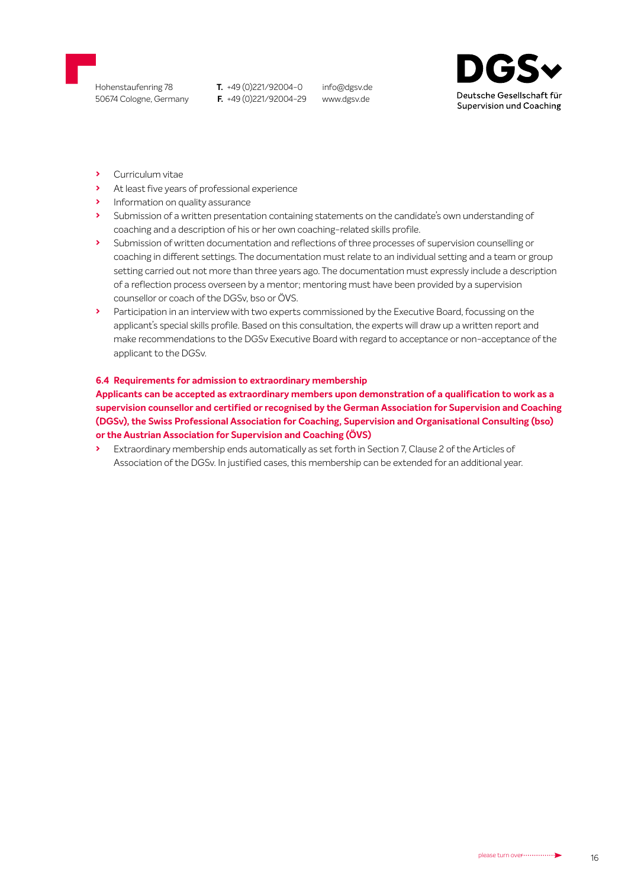

info@dgsv.de www.dgsv.de



- **›** Curriculum vitae
- **›** At least five years of professional experience
- **›** Information on quality assurance
- **›** Submission of a written presentation containing statements on the candidate's own understanding of coaching and a description of his or her own coaching-related skills profile.
- **›** Submission of written documentation and reflections of three processes of supervision counselling or coaching in different settings. The documentation must relate to an individual setting and a team or group setting carried out not more than three years ago. The documentation must expressly include a description of a reflection process overseen by a mentor; mentoring must have been provided by a supervision counsellor or coach of the DGSv, bso or ÖVS.
- **›** Participation in an interview with two experts commissioned by the Executive Board, focussing on the applicant's special skills profile. Based on this consultation, the experts will draw up a written report and make recommendations to the DGSv Executive Board with regard to acceptance or non-acceptance of the applicant to the DGSv.

#### **6.4 Requirements for admission to extraordinary membership**

**Applicants can be accepted as extraordinary members upon demonstration of a qualification to work as a [supervision counsellor and certified or recognised by the German Association for Supervision and Coaching](#page-1-0)  (DGSv), the Swiss Professional Association for Coaching, Supervision and Organisational Consulting (bso) or the Austrian Association for Supervision and Coaching (ÖVS)**

**›** Extraordinary membership ends automatically as set forth in Section 7, Clause 2 of the Articles of Association of the DGSv. In justified cases, this membership can be extended for an additional year.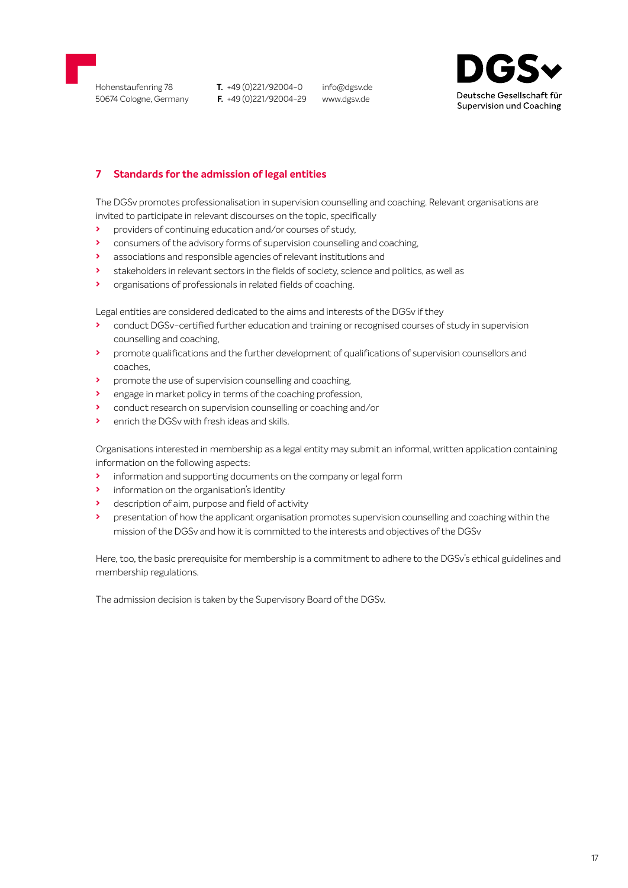<span id="page-16-0"></span>

info@dgsv.de www.dgsv.de



# **7 Standards for the admission of legal entities**

The DGSv promotes professionalisation in supervision counselling and coaching. Relevant organisations are invited to participate in relevant discourses on the topic, specifically

- **›** providers of continuing education and/or courses of study,
- **›** consumers of the advisory forms of supervision counselling and coaching,
- **›** associations and responsible agencies of relevant institutions and
- **›** stakeholders in relevant sectors in the fields of society, science and politics, as well as
- **›** organisations of professionals in related fields of coaching.

Legal entities are considered dedicated to the aims and interests of the DGSv if they

- **›** conduct DGSv-certified further education and training or recognised courses of study in supervision counselling and coaching,
- **›** promote qualifications and the further development of qualifications of supervision counsellors and coaches,
- **›** promote the use of supervision counselling and coaching,
- **›** engage in market policy in terms of the coaching profession,
- **›** conduct research on supervision counselling or coaching and/or
- **›** enrich the DGSv with fresh ideas and skills.

Organisations interested in membership as a legal entity may submit an informal, written application containing information on the following aspects:

- **›** information and supporting documents on the company or legal form
- **›** information on the organisation's identity
- **›** description of aim, purpose and field of activity
- **›** presentation of how the applicant organisation promotes supervision counselling and coaching within the mission of the DGSv and how it is committed to the interests and objectives of the DGSv

Here, too, the basic prerequisite for membership is a commitment to adhere to the DGSv's ethical guidelines and membership regulations.

The admission decision is taken by the Supervisory Board of the DGSv.